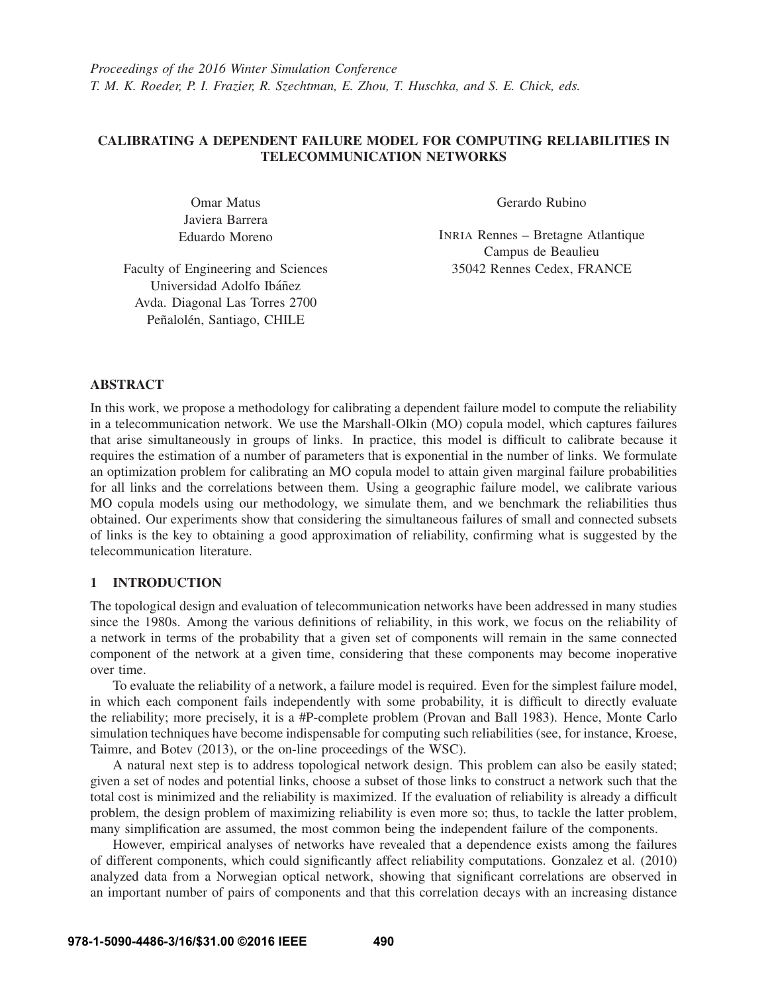# CALIBRATING A DEPENDENT FAILURE MODEL FOR COMPUTING RELIABILITIES IN TELECOMMUNICATION NETWORKS

Omar Matus Javiera Barrera Eduardo Moreno Gerardo Rubino

INRIA Rennes – Bretagne Atlantique Campus de Beaulieu 35042 Rennes Cedex, FRANCE

Faculty of Engineering and Sciences Universidad Adolfo Ibáñez Avda. Diagonal Las Torres 2700 Peñalolén, Santiago, CHILE

# ABSTRACT

In this work, we propose a methodology for calibrating a dependent failure model to compute the reliability in a telecommunication network. We use the Marshall-Olkin (MO) copula model, which captures failures that arise simultaneously in groups of links. In practice, this model is difficult to calibrate because it requires the estimation of a number of parameters that is exponential in the number of links. We formulate an optimization problem for calibrating an MO copula model to attain given marginal failure probabilities for all links and the correlations between them. Using a geographic failure model, we calibrate various MO copula models using our methodology, we simulate them, and we benchmark the reliabilities thus obtained. Our experiments show that considering the simultaneous failures of small and connected subsets of links is the key to obtaining a good approximation of reliability, confirming what is suggested by the telecommunication literature.

# 1 INTRODUCTION

The topological design and evaluation of telecommunication networks have been addressed in many studies since the 1980s. Among the various definitions of reliability, in this work, we focus on the reliability of a network in terms of the probability that a given set of components will remain in the same connected component of the network at a given time, considering that these components may become inoperative over time.

To evaluate the reliability of a network, a failure model is required. Even for the simplest failure model, in which each component fails independently with some probability, it is difficult to directly evaluate the reliability; more precisely, it is a #P-complete problem (Provan and Ball 1983). Hence, Monte Carlo simulation techniques have become indispensable for computing such reliabilities (see, for instance, Kroese, Taimre, and Botev (2013), or the on-line proceedings of the WSC).

A natural next step is to address topological network design. This problem can also be easily stated; given a set of nodes and potential links, choose a subset of those links to construct a network such that the total cost is minimized and the reliability is maximized. If the evaluation of reliability is already a difficult problem, the design problem of maximizing reliability is even more so; thus, to tackle the latter problem, many simplification are assumed, the most common being the independent failure of the components.

However, empirical analyses of networks have revealed that a dependence exists among the failures of different components, which could significantly affect reliability computations. Gonzalez et al. (2010) analyzed data from a Norwegian optical network, showing that significant correlations are observed in an important number of pairs of components and that this correlation decays with an increasing distance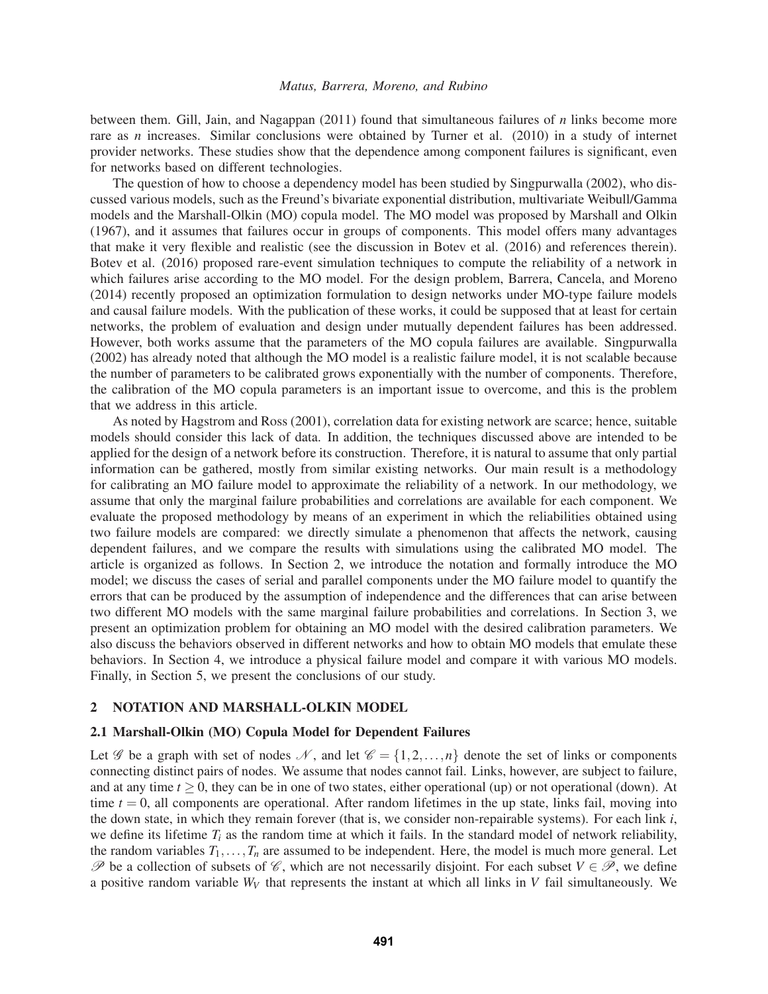between them. Gill, Jain, and Nagappan (2011) found that simultaneous failures of *n* links become more rare as *n* increases. Similar conclusions were obtained by Turner et al. (2010) in a study of internet provider networks. These studies show that the dependence among component failures is significant, even for networks based on different technologies.

The question of how to choose a dependency model has been studied by Singpurwalla (2002), who discussed various models, such as the Freund's bivariate exponential distribution, multivariate Weibull/Gamma models and the Marshall-Olkin (MO) copula model. The MO model was proposed by Marshall and Olkin (1967), and it assumes that failures occur in groups of components. This model offers many advantages that make it very flexible and realistic (see the discussion in Botev et al. (2016) and references therein). Botev et al. (2016) proposed rare-event simulation techniques to compute the reliability of a network in which failures arise according to the MO model. For the design problem, Barrera, Cancela, and Moreno (2014) recently proposed an optimization formulation to design networks under MO-type failure models and causal failure models. With the publication of these works, it could be supposed that at least for certain networks, the problem of evaluation and design under mutually dependent failures has been addressed. However, both works assume that the parameters of the MO copula failures are available. Singpurwalla (2002) has already noted that although the MO model is a realistic failure model, it is not scalable because the number of parameters to be calibrated grows exponentially with the number of components. Therefore, the calibration of the MO copula parameters is an important issue to overcome, and this is the problem that we address in this article.

As noted by Hagstrom and Ross (2001), correlation data for existing network are scarce; hence, suitable models should consider this lack of data. In addition, the techniques discussed above are intended to be applied for the design of a network before its construction. Therefore, it is natural to assume that only partial information can be gathered, mostly from similar existing networks. Our main result is a methodology for calibrating an MO failure model to approximate the reliability of a network. In our methodology, we assume that only the marginal failure probabilities and correlations are available for each component. We evaluate the proposed methodology by means of an experiment in which the reliabilities obtained using two failure models are compared: we directly simulate a phenomenon that affects the network, causing dependent failures, and we compare the results with simulations using the calibrated MO model. The article is organized as follows. In Section 2, we introduce the notation and formally introduce the MO model; we discuss the cases of serial and parallel components under the MO failure model to quantify the errors that can be produced by the assumption of independence and the differences that can arise between two different MO models with the same marginal failure probabilities and correlations. In Section 3, we present an optimization problem for obtaining an MO model with the desired calibration parameters. We also discuss the behaviors observed in different networks and how to obtain MO models that emulate these behaviors. In Section 4, we introduce a physical failure model and compare it with various MO models. Finally, in Section 5, we present the conclusions of our study.

### 2 NOTATION AND MARSHALL-OLKIN MODEL

#### 2.1 Marshall-Olkin (MO) Copula Model for Dependent Failures

Let G be a graph with set of nodes N, and let  $\mathcal{C} = \{1, 2, ..., n\}$  denote the set of links or components connecting distinct pairs of nodes. We assume that nodes cannot fail. Links, however, are subject to failure, and at any time  $t \ge 0$ , they can be in one of two states, either operational (up) or not operational (down). At time  $t = 0$ , all components are operational. After random lifetimes in the up state, links fail, moving into the down state, in which they remain forever (that is, we consider non-repairable systems). For each link *i*, we define its lifetime  $T_i$  as the random time at which it fails. In the standard model of network reliability, the random variables  $T_1, \ldots, T_n$  are assumed to be independent. Here, the model is much more general. Let P be a collection of subsets of  $\mathscr{C}$ , which are not necessarily disjoint. For each subset  $V \in \mathscr{P}$ , we define a positive random variable  $W_V$  that represents the instant at which all links in  $V$  fail simultaneously. We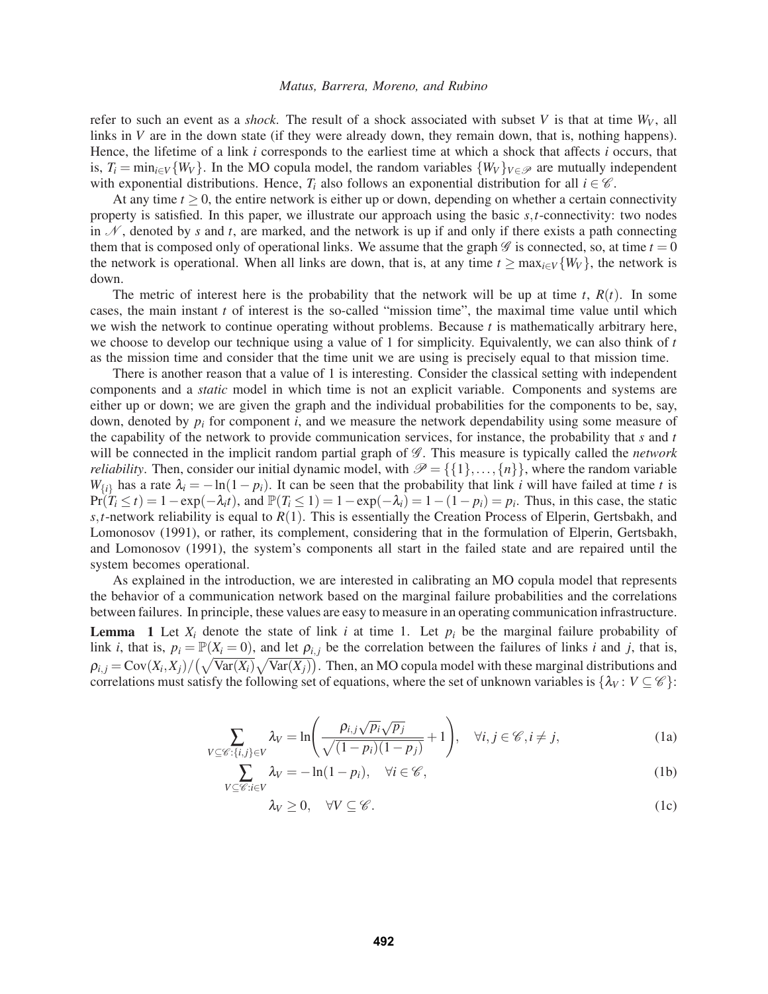refer to such an event as a *shock*. The result of a shock associated with subset *V* is that at time  $W_V$ , all links in *V* are in the down state (if they were already down, they remain down, that is, nothing happens). Hence, the lifetime of a link *i* corresponds to the earliest time at which a shock that affects *i* occurs, that is,  $T_i = \min_{i \in V} \{W_V\}$ . In the MO copula model, the random variables  $\{W_V\}_{V \in \mathcal{P}}$  are mutually independent with exponential distributions. Hence,  $T_i$  also follows an exponential distribution for all  $i \in \mathcal{C}$ .

At any time  $t \geq 0$ , the entire network is either up or down, depending on whether a certain connectivity property is satisfied. In this paper, we illustrate our approach using the basic *s*,*t*-connectivity: two nodes in  $N$ , denoted by *s* and *t*, are marked, and the network is up if and only if there exists a path connecting them that is composed only of operational links. We assume that the graph  $\mathscr G$  is connected, so, at time  $t = 0$ the network is operational. When all links are down, that is, at any time  $t \ge \max_{i \in V} \{W_V\}$ , the network is down.

The metric of interest here is the probability that the network will be up at time  $t$ ,  $R(t)$ . In some cases, the main instant *t* of interest is the so-called "mission time", the maximal time value until which we wish the network to continue operating without problems. Because *t* is mathematically arbitrary here, we choose to develop our technique using a value of 1 for simplicity. Equivalently, we can also think of *t* as the mission time and consider that the time unit we are using is precisely equal to that mission time.

There is another reason that a value of 1 is interesting. Consider the classical setting with independent components and a *static* model in which time is not an explicit variable. Components and systems are either up or down; we are given the graph and the individual probabilities for the components to be, say, down, denoted by  $p_i$  for component *i*, and we measure the network dependability using some measure of the capability of the network to provide communication services, for instance, the probability that *s* and *t* will be connected in the implicit random partial graph of  $\mathcal G$ . This measure is typically called the *network reliability*. Then, consider our initial dynamic model, with  $\mathcal{P} = \{\{1\}, \ldots, \{n\}\}\$ , where the random variable *W*<sub>{*i*</sub>} has a rate  $\lambda_i = -\ln(1-p_i)$ . It can be seen that the probability that link *i* will have failed at time *t* is  $Pr(T_i \le t) = 1 - \exp(-\lambda_i t)$ , and  $P(T_i \le 1) = 1 - \exp(-\lambda_i) = 1 - (1 - p_i) = p_i$ . Thus, in this case, the static *s*,*t*-network reliability is equal to *R*(1). This is essentially the Creation Process of Elperin, Gertsbakh, and Lomonosov (1991), or rather, its complement, considering that in the formulation of Elperin, Gertsbakh, and Lomonosov (1991), the system's components all start in the failed state and are repaired until the system becomes operational.

As explained in the introduction, we are interested in calibrating an MO copula model that represents the behavior of a communication network based on the marginal failure probabilities and the correlations between failures. In principle, these values are easy to measure in an operating communication infrastructure. **Lemma** 1 Let  $X_i$  denote the state of link *i* at time 1. Let  $p_i$  be the marginal failure probability of link *i*, that is,  $p_i = \mathbb{P}(X_i = 0)$ , and let  $\rho_{i,j}$  be the correlation between the failures of links *i* and *j*, that is,  $\rho_{i,j} = \text{Cov}(X_i, X_j) / (\sqrt{\text{Var}(X_i)} \sqrt{\text{Var}(X_j)})$ . Then, an MO copula model with these marginal distributions and correlations must satisfy the following set of equations, where the set of unknown variables is  $\{\lambda_V : V \subseteq \mathscr{C}\}$ :

$$
\sum_{V \subseteq \mathscr{C}:\{i,j\} \in V} \lambda_V = \ln\left(\frac{\rho_{i,j}\sqrt{p_i}\sqrt{p_j}}{\sqrt{(1-p_i)(1-p_j)}} + 1\right), \quad \forall i, j \in \mathscr{C}, i \neq j,
$$
\n(1a)

$$
\sum_{V \subseteq \mathcal{C}: i \in V} \lambda_V = -\ln(1 - p_i), \quad \forall i \in \mathcal{C},
$$
\n(1b)

$$
\lambda_V \ge 0, \quad \forall V \subseteq \mathscr{C}.\tag{1c}
$$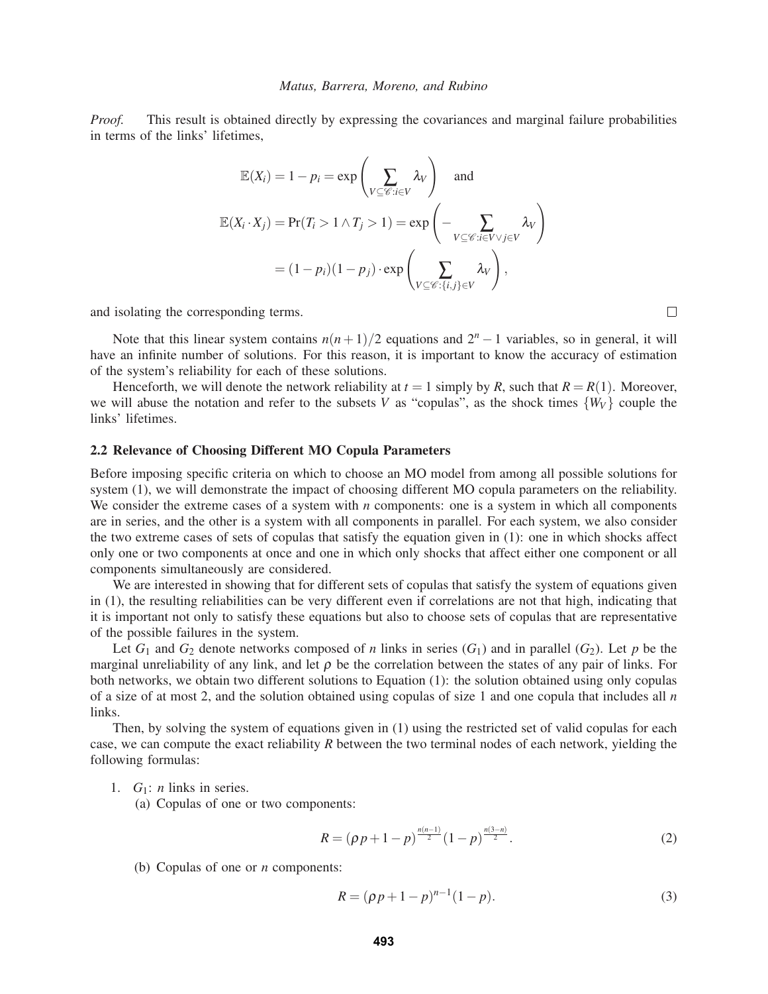*Proof.* This result is obtained directly by expressing the covariances and marginal failure probabilities in terms of the links' lifetimes,

$$
\mathbb{E}(X_i) = 1 - p_i = \exp\left(\sum_{V \subseteq \mathcal{C}: i \in V} \lambda_V\right) \text{ and}
$$

$$
\mathbb{E}(X_i \cdot X_j) = \Pr(T_i > 1 \land T_j > 1) = \exp\left(-\sum_{V \subseteq \mathcal{C}: i \in V \lor j \in V} \lambda_V\right)
$$

$$
= (1 - p_i)(1 - p_j) \cdot \exp\left(\sum_{V \subseteq \mathcal{C}: \{i, j\} \in V} \lambda_V\right),
$$

and isolating the corresponding terms.

Note that this linear system contains  $n(n+1)/2$  equations and  $2<sup>n</sup> - 1$  variables, so in general, it will have an infinite number of solutions. For this reason, it is important to know the accuracy of estimation of the system's reliability for each of these solutions.

Henceforth, we will denote the network reliability at  $t = 1$  simply by *R*, such that  $R = R(1)$ . Moreover, we will abuse the notation and refer to the subsets *V* as "copulas", as the shock times  $\{W_V\}$  couple the links' lifetimes.

### 2.2 Relevance of Choosing Different MO Copula Parameters

Before imposing specific criteria on which to choose an MO model from among all possible solutions for system (1), we will demonstrate the impact of choosing different MO copula parameters on the reliability. We consider the extreme cases of a system with *n* components: one is a system in which all components are in series, and the other is a system with all components in parallel. For each system, we also consider the two extreme cases of sets of copulas that satisfy the equation given in (1): one in which shocks affect only one or two components at once and one in which only shocks that affect either one component or all components simultaneously are considered.

We are interested in showing that for different sets of copulas that satisfy the system of equations given in (1), the resulting reliabilities can be very different even if correlations are not that high, indicating that it is important not only to satisfy these equations but also to choose sets of copulas that are representative of the possible failures in the system.

Let  $G_1$  and  $G_2$  denote networks composed of *n* links in series  $(G_1)$  and in parallel  $(G_2)$ . Let *p* be the marginal unreliability of any link, and let  $\rho$  be the correlation between the states of any pair of links. For both networks, we obtain two different solutions to Equation (1): the solution obtained using only copulas of a size of at most 2, and the solution obtained using copulas of size 1 and one copula that includes all *n* links.

Then, by solving the system of equations given in (1) using the restricted set of valid copulas for each case, we can compute the exact reliability *R* between the two terminal nodes of each network, yielding the following formulas:

- 1. *G*1: *n* links in series.
	- (a) Copulas of one or two components:

$$
R = (\rho p + 1 - p)^{\frac{n(n-1)}{2}} (1 - p)^{\frac{n(3-n)}{2}}.
$$
 (2)

(b) Copulas of one or *n* components:

$$
R = (\rho p + 1 - p)^{n-1} (1 - p).
$$
 (3)

 $\Box$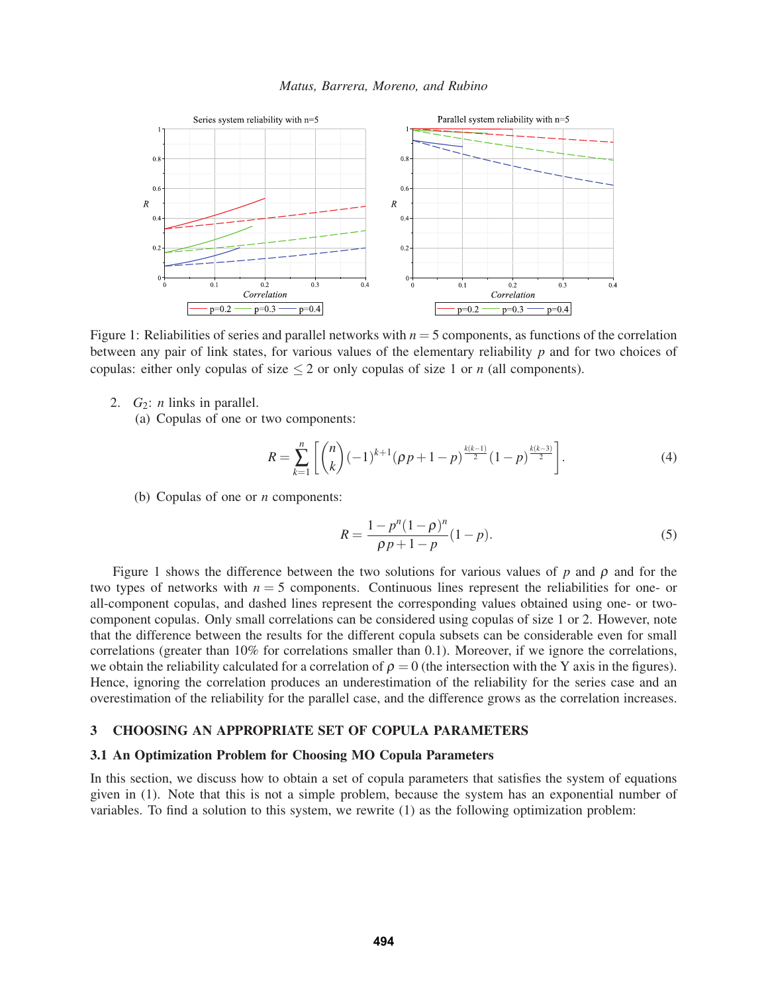

Figure 1: Reliabilities of series and parallel networks with  $n = 5$  components, as functions of the correlation between any pair of link states, for various values of the elementary reliability *p* and for two choices of copulas: either only copulas of size  $\leq$  2 or only copulas of size 1 or *n* (all components).

- 2.  $G_2$ : *n* links in parallel.
	- (a) Copulas of one or two components:

$$
R = \sum_{k=1}^{n} \left[ \binom{n}{k} (-1)^{k+1} (p p + 1 - p)^{\frac{k(k-1)}{2}} (1 - p)^{\frac{k(k-3)}{2}} \right].
$$
 (4)

(b) Copulas of one or *n* components:

$$
R = \frac{1 - p^n (1 - \rho)^n}{\rho p + 1 - p} (1 - p).
$$
\n(5)

Figure 1 shows the difference between the two solutions for various values of  $p$  and  $\rho$  and for the two types of networks with  $n = 5$  components. Continuous lines represent the reliabilities for one- or all-component copulas, and dashed lines represent the corresponding values obtained using one- or twocomponent copulas. Only small correlations can be considered using copulas of size 1 or 2. However, note that the difference between the results for the different copula subsets can be considerable even for small correlations (greater than 10% for correlations smaller than 0.1). Moreover, if we ignore the correlations, we obtain the reliability calculated for a correlation of  $\rho = 0$  (the intersection with the Y axis in the figures). Hence, ignoring the correlation produces an underestimation of the reliability for the series case and an overestimation of the reliability for the parallel case, and the difference grows as the correlation increases.

### 3 CHOOSING AN APPROPRIATE SET OF COPULA PARAMETERS

### 3.1 An Optimization Problem for Choosing MO Copula Parameters

In this section, we discuss how to obtain a set of copula parameters that satisfies the system of equations given in (1). Note that this is not a simple problem, because the system has an exponential number of variables. To find a solution to this system, we rewrite (1) as the following optimization problem: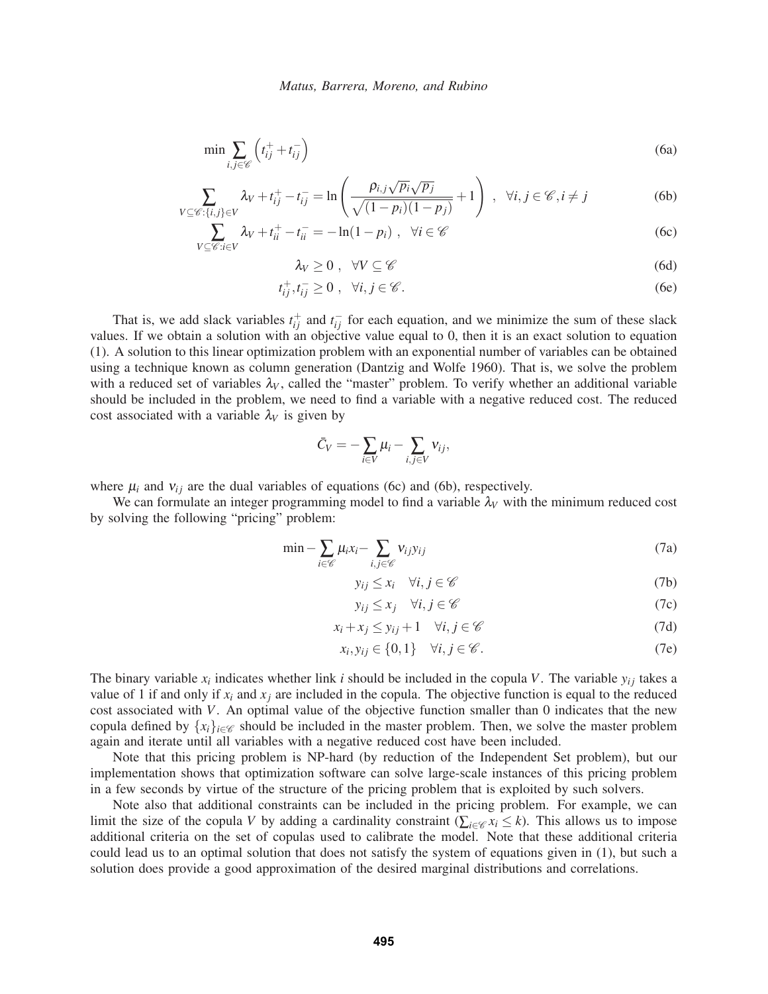$$
\min \sum_{i,j \in \mathscr{C}} \left( t_{ij}^+ + t_{ij}^- \right) \tag{6a}
$$

$$
\sum_{V \subseteq \mathscr{C}:\{i,j\} \in V} \lambda_V + t_{ij}^+ - t_{ij}^- = \ln\left(\frac{\rho_{i,j}\sqrt{p_i}\sqrt{p_j}}{\sqrt{(1-p_i)(1-p_j)}} + 1\right) , \quad \forall i, j \in \mathscr{C}, i \neq j
$$
 (6b)

$$
\sum_{V \subseteq \mathscr{C}: i \in V} \lambda_V + t_{ii}^+ - t_{ii}^- = -\ln(1 - p_i) \ , \quad \forall i \in \mathscr{C}
$$
 (6c)

$$
\lambda_V \geq 0 \; , \; \; \forall V \subseteq \mathscr{C} \tag{6d}
$$

$$
t_{ij}^+, t_{ij}^- \ge 0 \ , \ \ \forall i, j \in \mathscr{C}.
$$
 (6e)

That is, we add slack variables  $t_{ij}^+$  and  $t_{ij}^-$  for each equation, and we minimize the sum of these slack values. If we obtain a solution with an objective value equal to 0, then it is an exact solution to equation (1). A solution to this linear optimization problem with an exponential number of variables can be obtained using a technique known as column generation (Dantzig and Wolfe 1960). That is, we solve the problem with a reduced set of variables  $\lambda_V$ , called the "master" problem. To verify whether an additional variable should be included in the problem, we need to find a variable with a negative reduced cost. The reduced cost associated with a variable  $\lambda_V$  is given by

$$
\bar{C}_V = -\sum_{i \in V} \mu_i - \sum_{i,j \in V} v_{ij},
$$

where  $\mu_i$  and  $v_{ij}$  are the dual variables of equations (6c) and (6b), respectively.

We can formulate an integer programming model to find a variable  $\lambda_V$  with the minimum reduced cost by solving the following "pricing" problem:

$$
\min -\sum_{i \in \mathscr{C}} \mu_i x_i - \sum_{i,j \in \mathscr{C}} \nu_{ij} y_{ij} \tag{7a}
$$

$$
y_{ij} \le x_i \quad \forall i, j \in \mathscr{C} \tag{7b}
$$

$$
y_{ij} \le x_j \quad \forall i, j \in \mathscr{C}
$$
 (7c)

$$
x_i + x_j \le y_{ij} + 1 \quad \forall i, j \in \mathscr{C}
$$
 (7d)

$$
x_i, y_{ij} \in \{0, 1\} \quad \forall i, j \in \mathscr{C}.
$$
 (7e)

The binary variable  $x_i$  indicates whether link *i* should be included in the copula *V*. The variable  $y_i$  takes a value of 1 if and only if  $x_i$  and  $x_j$  are included in the copula. The objective function is equal to the reduced cost associated with *V*. An optimal value of the objective function smaller than 0 indicates that the new copula defined by  ${x_i}_{i \in \mathscr{C}}$  should be included in the master problem. Then, we solve the master problem again and iterate until all variables with a negative reduced cost have been included.

Note that this pricing problem is NP-hard (by reduction of the Independent Set problem), but our implementation shows that optimization software can solve large-scale instances of this pricing problem in a few seconds by virtue of the structure of the pricing problem that is exploited by such solvers.

Note also that additional constraints can be included in the pricing problem. For example, we can limit the size of the copula *V* by adding a cardinality constraint ( $\sum_{i \in \mathscr{C}} x_i \leq k$ ). This allows us to impose additional criteria on the set of copulas used to calibrate the model. Note that these additional criteria could lead us to an optimal solution that does not satisfy the system of equations given in (1), but such a solution does provide a good approximation of the desired marginal distributions and correlations.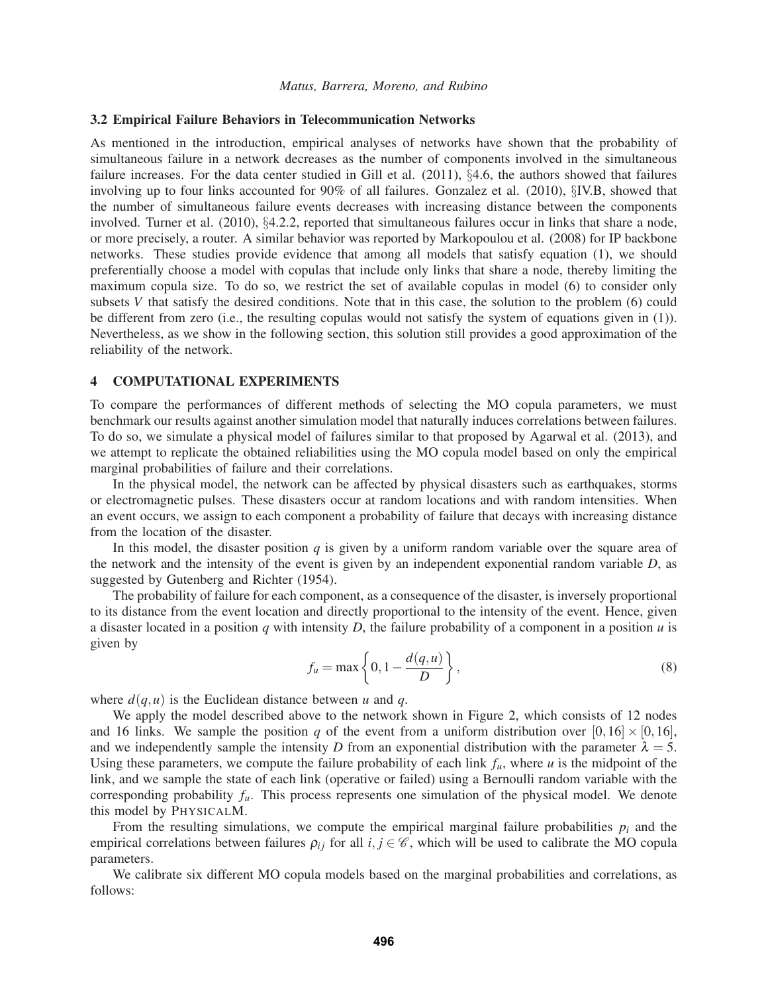#### 3.2 Empirical Failure Behaviors in Telecommunication Networks

As mentioned in the introduction, empirical analyses of networks have shown that the probability of simultaneous failure in a network decreases as the number of components involved in the simultaneous failure increases. For the data center studied in Gill et al. (2011), §4.6, the authors showed that failures involving up to four links accounted for 90% of all failures. Gonzalez et al. (2010), §IV.B, showed that the number of simultaneous failure events decreases with increasing distance between the components involved. Turner et al. (2010), §4.2.2, reported that simultaneous failures occur in links that share a node, or more precisely, a router. A similar behavior was reported by Markopoulou et al. (2008) for IP backbone networks. These studies provide evidence that among all models that satisfy equation (1), we should preferentially choose a model with copulas that include only links that share a node, thereby limiting the maximum copula size. To do so, we restrict the set of available copulas in model (6) to consider only subsets *V* that satisfy the desired conditions. Note that in this case, the solution to the problem (6) could be different from zero (i.e., the resulting copulas would not satisfy the system of equations given in (1)). Nevertheless, as we show in the following section, this solution still provides a good approximation of the reliability of the network.

#### 4 COMPUTATIONAL EXPERIMENTS

To compare the performances of different methods of selecting the MO copula parameters, we must benchmark our results against another simulation model that naturally induces correlations between failures. To do so, we simulate a physical model of failures similar to that proposed by Agarwal et al. (2013), and we attempt to replicate the obtained reliabilities using the MO copula model based on only the empirical marginal probabilities of failure and their correlations.

In the physical model, the network can be affected by physical disasters such as earthquakes, storms or electromagnetic pulses. These disasters occur at random locations and with random intensities. When an event occurs, we assign to each component a probability of failure that decays with increasing distance from the location of the disaster.

In this model, the disaster position *q* is given by a uniform random variable over the square area of the network and the intensity of the event is given by an independent exponential random variable *D*, as suggested by Gutenberg and Richter (1954).

The probability of failure for each component, as a consequence of the disaster, is inversely proportional to its distance from the event location and directly proportional to the intensity of the event. Hence, given a disaster located in a position *q* with intensity *D*, the failure probability of a component in a position *u* is given by

$$
f_u = \max\left\{0, 1 - \frac{d(q, u)}{D}\right\},\tag{8}
$$

where  $d(q, u)$  is the Euclidean distance between *u* and *q*.

We apply the model described above to the network shown in Figure 2, which consists of 12 nodes and 16 links. We sample the position *q* of the event from a uniform distribution over  $[0, 16] \times [0, 16]$ , and we independently sample the intensity *D* from an exponential distribution with the parameter  $\lambda = 5$ . Using these parameters, we compute the failure probability of each link  $f_u$ , where *u* is the midpoint of the link, and we sample the state of each link (operative or failed) using a Bernoulli random variable with the corresponding probability *fu*. This process represents one simulation of the physical model. We denote this model by PHYSICALM.

From the resulting simulations, we compute the empirical marginal failure probabilities  $p_i$  and the empirical correlations between failures  $\rho_{ij}$  for all  $i, j \in \mathcal{C}$ , which will be used to calibrate the MO copula parameters.

We calibrate six different MO copula models based on the marginal probabilities and correlations, as follows: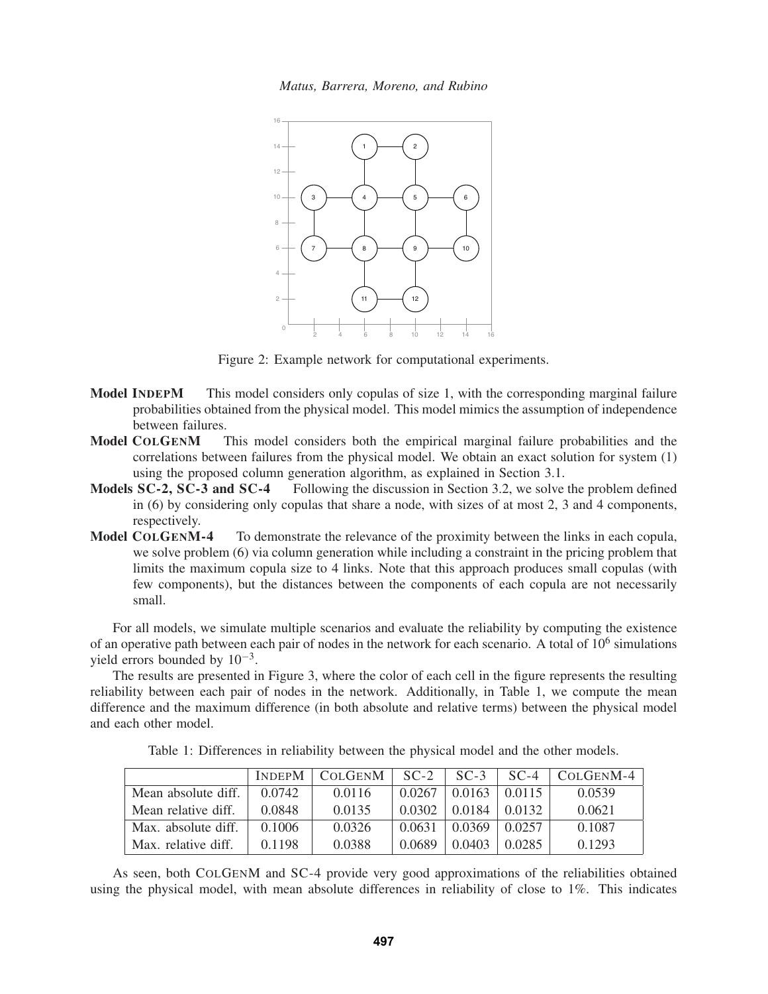

Figure 2: Example network for computational experiments.

- Model INDEPM This model considers only copulas of size 1, with the corresponding marginal failure probabilities obtained from the physical model. This model mimics the assumption of independence between failures.
- Model COLGENM This model considers both the empirical marginal failure probabilities and the correlations between failures from the physical model. We obtain an exact solution for system (1) using the proposed column generation algorithm, as explained in Section 3.1.
- Models SC-2, SC-3 and SC-4 Following the discussion in Section 3.2, we solve the problem defined in (6) by considering only copulas that share a node, with sizes of at most 2, 3 and 4 components, respectively.
- Model COLGENM-4 To demonstrate the relevance of the proximity between the links in each copula, we solve problem (6) via column generation while including a constraint in the pricing problem that limits the maximum copula size to 4 links. Note that this approach produces small copulas (with few components), but the distances between the components of each copula are not necessarily small.

For all models, we simulate multiple scenarios and evaluate the reliability by computing the existence of an operative path between each pair of nodes in the network for each scenario. A total of  $10^6$  simulations yield errors bounded by  $10^{-3}$ .

The results are presented in Figure 3, where the color of each cell in the figure represents the resulting reliability between each pair of nodes in the network. Additionally, in Table 1, we compute the mean difference and the maximum difference (in both absolute and relative terms) between the physical model and each other model.

Table 1: Differences in reliability between the physical model and the other models.

|                     | <b>INDEPM</b> | <b>COLGENM</b> | $SC-2$ | $SC-3$ | $SC-4$ | COLGENM-4 |
|---------------------|---------------|----------------|--------|--------|--------|-----------|
| Mean absolute diff. | 0.0742        | 0.0116         | 0.0267 | 0.0163 | 0.0115 | 0.0539    |
| Mean relative diff. | 0.0848        | 0.0135         | 0.0302 | 0.0184 | 0.0132 | 0.0621    |
| Max. absolute diff. | 0.1006        | 0.0326         | 0.0631 | 0.0369 | 0.0257 | 0.1087    |
| Max. relative diff. | 0.1198        | 0.0388         | 0.0689 | 0.0403 | 0.0285 | 0.1293    |

As seen, both COLGENM and SC-4 provide very good approximations of the reliabilities obtained using the physical model, with mean absolute differences in reliability of close to 1%. This indicates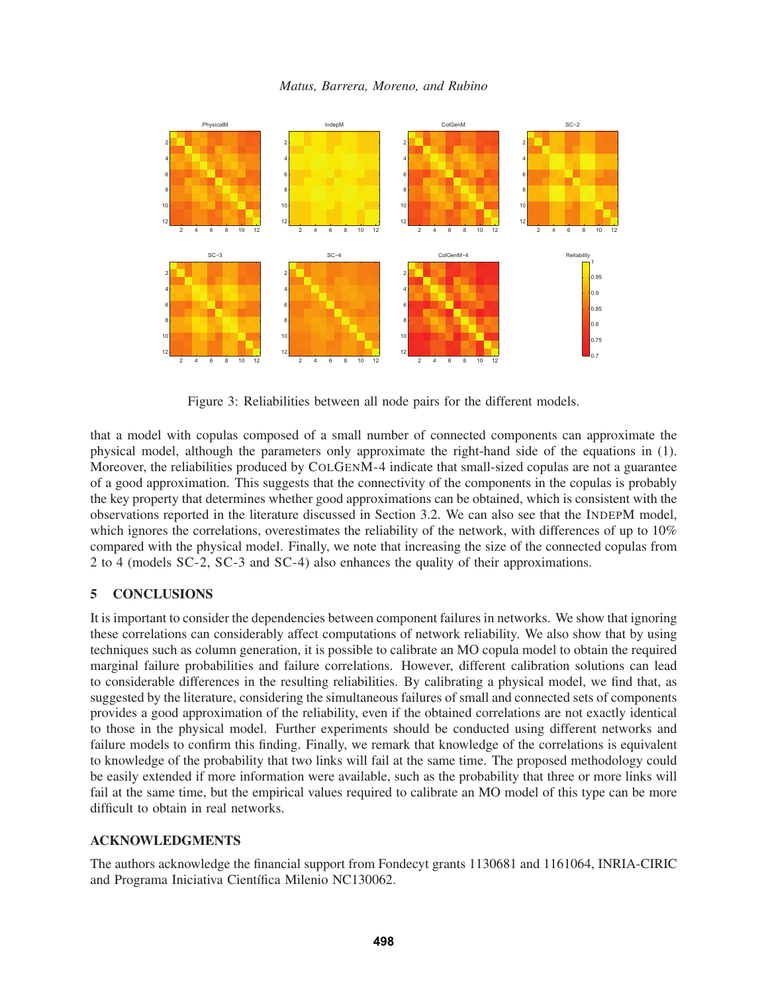

Figure 3: Reliabilities between all node pairs for the different models.

that a model with copulas composed of a small number of connected components can approximate the physical model, although the parameters only approximate the right-hand side of the equations in (1). Moreover, the reliabilities produced by COLGENM-4 indicate that small-sized copulas are not a guarantee of a good approximation. This suggests that the connectivity of the components in the copulas is probably the key property that determines whether good approximations can be obtained, which is consistent with the observations reported in the literature discussed in Section 3.2. We can also see that the INDEPM model, which ignores the correlations, overestimates the reliability of the network, with differences of up to 10% compared with the physical model. Finally, we note that increasing the size of the connected copulas from 2 to 4 (models SC-2, SC-3 and SC-4) also enhances the quality of their approximations.

# 5 CONCLUSIONS

It is important to consider the dependencies between component failures in networks. We show that ignoring these correlations can considerably affect computations of network reliability. We also show that by using techniques such as column generation, it is possible to calibrate an MO copula model to obtain the required marginal failure probabilities and failure correlations. However, different calibration solutions can lead to considerable differences in the resulting reliabilities. By calibrating a physical model, we find that, as suggested by the literature, considering the simultaneous failures of small and connected sets of components provides a good approximation of the reliability, even if the obtained correlations are not exactly identical to those in the physical model. Further experiments should be conducted using different networks and failure models to confirm this finding. Finally, we remark that knowledge of the correlations is equivalent to knowledge of the probability that two links will fail at the same time. The proposed methodology could be easily extended if more information were available, such as the probability that three or more links will fail at the same time, but the empirical values required to calibrate an MO model of this type can be more difficult to obtain in real networks.

# ACKNOWLEDGMENTS

The authors acknowledge the financial support from Fondecyt grants 1130681 and 1161064, INRIA-CIRIC and Programa Iniciativa Científica Milenio NC130062.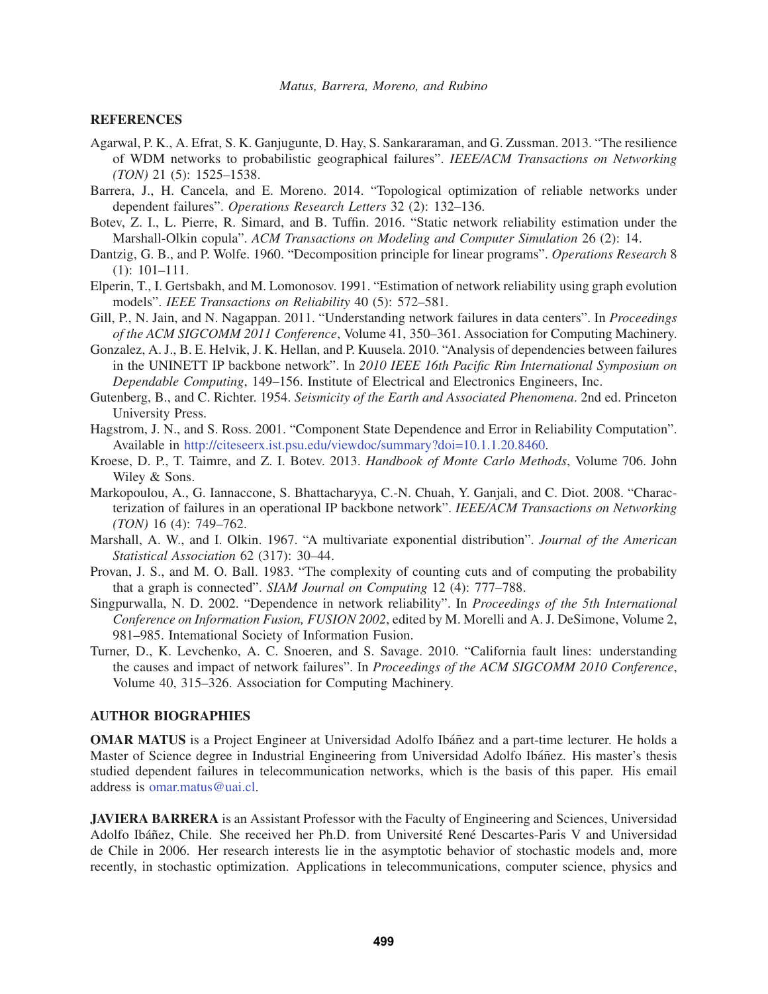### **REFERENCES**

- Agarwal, P. K., A. Efrat, S. K. Ganjugunte, D. Hay, S. Sankararaman, and G. Zussman. 2013. "The resilience of WDM networks to probabilistic geographical failures". *IEEE/ACM Transactions on Networking (TON)* 21 (5): 1525–1538.
- Barrera, J., H. Cancela, and E. Moreno. 2014. "Topological optimization of reliable networks under dependent failures". *Operations Research Letters* 32 (2): 132–136.
- Botev, Z. I., L. Pierre, R. Simard, and B. Tuffin. 2016. "Static network reliability estimation under the Marshall-Olkin copula". *ACM Transactions on Modeling and Computer Simulation* 26 (2): 14.
- Dantzig, G. B., and P. Wolfe. 1960. "Decomposition principle for linear programs". *Operations Research* 8 (1): 101–111.
- Elperin, T., I. Gertsbakh, and M. Lomonosov. 1991. "Estimation of network reliability using graph evolution models". *IEEE Transactions on Reliability* 40 (5): 572–581.
- Gill, P., N. Jain, and N. Nagappan. 2011. "Understanding network failures in data centers". In *Proceedings of the ACM SIGCOMM 2011 Conference*, Volume 41, 350–361. Association for Computing Machinery.
- Gonzalez, A. J., B. E. Helvik, J. K. Hellan, and P. Kuusela. 2010. "Analysis of dependencies between failures in the UNINETT IP backbone network". In *2010 IEEE 16th Pacific Rim International Symposium on Dependable Computing*, 149–156. Institute of Electrical and Electronics Engineers, Inc.
- Gutenberg, B., and C. Richter. 1954. *Seismicity of the Earth and Associated Phenomena*. 2nd ed. Princeton University Press.
- Hagstrom, J. N., and S. Ross. 2001. "Component State Dependence and Error in Reliability Computation". Available in http://citeseerx.ist.psu.edu/viewdoc/summary?doi=10.1.1.20.8460.
- Kroese, D. P., T. Taimre, and Z. I. Botev. 2013. *Handbook of Monte Carlo Methods*, Volume 706. John Wiley & Sons.
- Markopoulou, A., G. Iannaccone, S. Bhattacharyya, C.-N. Chuah, Y. Ganjali, and C. Diot. 2008. "Characterization of failures in an operational IP backbone network". *IEEE/ACM Transactions on Networking (TON)* 16 (4): 749–762.
- Marshall, A. W., and I. Olkin. 1967. "A multivariate exponential distribution". *Journal of the American Statistical Association* 62 (317): 30–44.
- Provan, J. S., and M. O. Ball. 1983. "The complexity of counting cuts and of computing the probability that a graph is connected". *SIAM Journal on Computing* 12 (4): 777–788.
- Singpurwalla, N. D. 2002. "Dependence in network reliability". In *Proceedings of the 5th International Conference on Information Fusion, FUSION 2002*, edited by M. Morelli and A. J. DeSimone, Volume 2, 981–985. Intemational Society of Information Fusion.
- Turner, D., K. Levchenko, A. C. Snoeren, and S. Savage. 2010. "California fault lines: understanding the causes and impact of network failures". In *Proceedings of the ACM SIGCOMM 2010 Conference*, Volume 40, 315–326. Association for Computing Machinery.

#### AUTHOR BIOGRAPHIES

**OMAR MATUS** is a Project Engineer at Universidad Adolfo Ibáñez and a part-time lecturer. He holds a Master of Science degree in Industrial Engineering from Universidad Adolfo Ibáñez. His master's thesis studied dependent failures in telecommunication networks, which is the basis of this paper. His email address is omar.matus@uai.cl.

JAVIERA BARRERA is an Assistant Professor with the Faculty of Engineering and Sciences, Universidad Adolfo Ibáñez, Chile. She received her Ph.D. from Université René Descartes-Paris V and Universidad de Chile in 2006. Her research interests lie in the asymptotic behavior of stochastic models and, more recently, in stochastic optimization. Applications in telecommunications, computer science, physics and